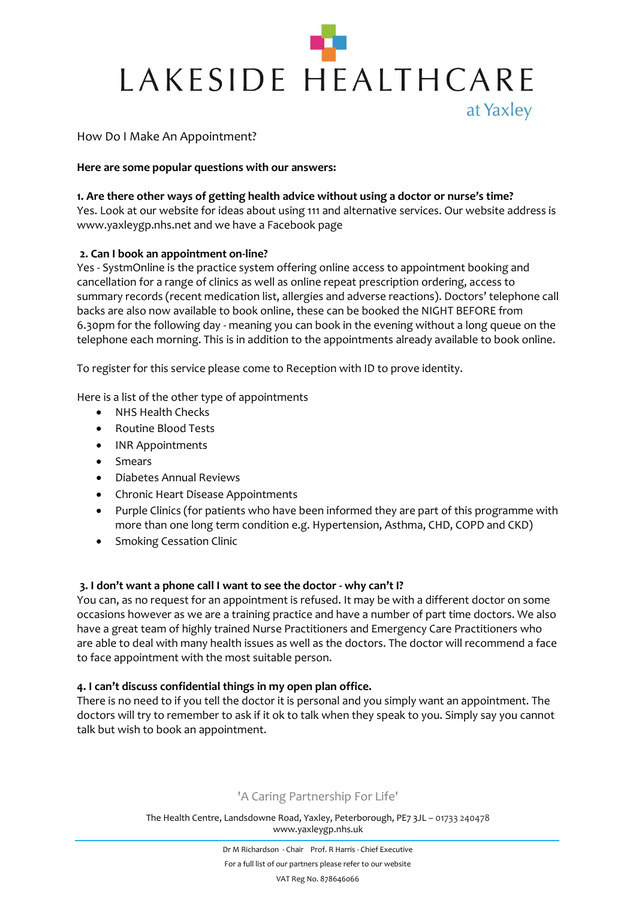

# How Do I Make An Appointment?

## **Here are some popular questions with our answers:**

## **1. Are there other ways of getting health advice without using a doctor or nurse's time?**

Yes. Look at our website for ideas about using 111 and alternative services. Our website address is www.yaxleygp.nhs.net and we have a Facebook page

## **2. Can I book an appointment on-line?**

Yes - SystmOnline is the practice system offering online access to appointment booking and cancellation for a range of clinics as well as online repeat prescription ordering, access to summary records (recent medication list, allergies and adverse reactions). Doctors' telephone call backs are also now available to book online, these can be booked the NIGHT BEFORE from 6.30pm for the following day - meaning you can book in the evening without a long queue on the telephone each morning. This is in addition to the appointments already available to book online.

To register for this service please come to Reception with ID to prove identity.

Here is a list of the other type of appointments

- NHS Health Checks
- Routine Blood Tests
- INR Appointments
- Smears
- Diabetes Annual Reviews
- Chronic Heart Disease Appointments
- Purple Clinics (for patients who have been informed they are part of this programme with more than one long term condition e.g. Hypertension, Asthma, CHD, COPD and CKD)
- Smoking Cessation Clinic

# **3. I don't want a phone call I want to see the doctor - why can't I?**

You can, as no request for an appointment is refused. It may be with a different doctor on some occasions however as we are a training practice and have a number of part time doctors. We also have a great team of highly trained Nurse Practitioners and Emergency Care Practitioners who are able to deal with many health issues as well as the doctors. The doctor will recommend a face to face appointment with the most suitable person.

# **4. I can't discuss confidential things in my open plan office.**

There is no need to if you tell the doctor it is personal and you simply want an appointment. The doctors will try to remember to ask if it ok to talk when they speak to you. Simply say you cannot talk but wish to book an appointment.

# 'A Caring Partnership For Life'

The Health Centre, Landsdowne Road, Yaxley, Peterborough, PE7 3JL – 01733 240478 www.yaxleygp.nhs.uk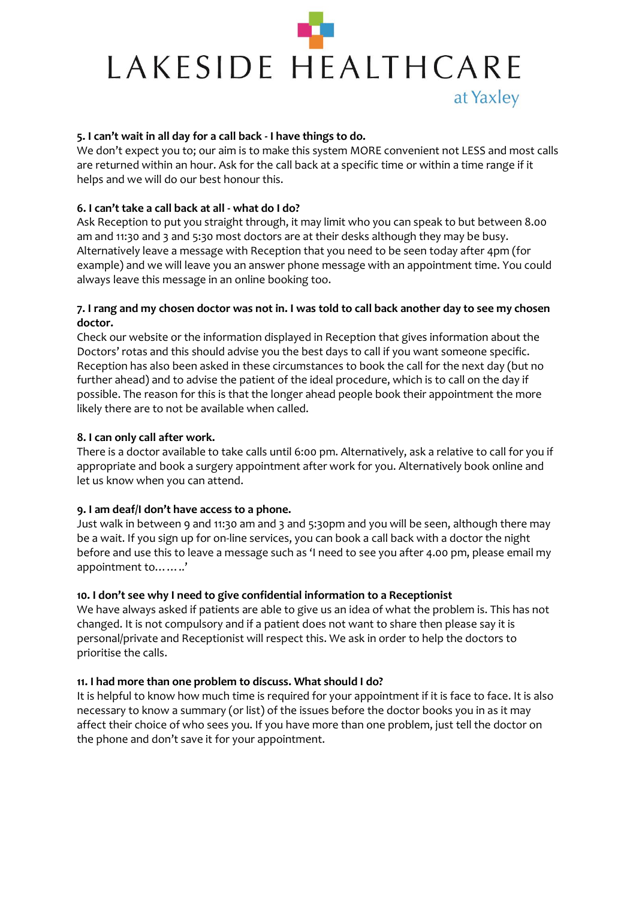# LAKESIDE HEALTHCARE at Yaxley

## **5. I can't wait in all day for a call back - I have things to do.**

We don't expect you to; our aim is to make this system MORE convenient not LESS and most calls are returned within an hour. Ask for the call back at a specific time or within a time range if it helps and we will do our best honour this.

# **6. I can't take a call back at all - what do I do?**

Ask Reception to put you straight through, it may limit who you can speak to but between 8.00 am and 11:30 and 3 and 5:30 most doctors are at their desks although they may be busy. Alternatively leave a message with Reception that you need to be seen today after 4pm (for example) and we will leave you an answer phone message with an appointment time. You could always leave this message in an online booking too.

## **7. I rang and my chosen doctor was not in. I was told to call back another day to see my chosen doctor.**

Check our website or the information displayed in Reception that gives information about the Doctors' rotas and this should advise you the best days to call if you want someone specific. Reception has also been asked in these circumstances to book the call for the next day (but no further ahead) and to advise the patient of the ideal procedure, which is to call on the day if possible. The reason for this is that the longer ahead people book their appointment the more likely there are to not be available when called.

## **8. I can only call after work.**

There is a doctor available to take calls until 6:00 pm. Alternatively, ask a relative to call for you if appropriate and book a surgery appointment after work for you. Alternatively book online and let us know when you can attend.

#### **9. I am deaf/I don't have access to a phone.**

Just walk in between 9 and 11:30 am and 3 and 5:30pm and you will be seen, although there may be a wait. If you sign up for on-line services, you can book a call back with a doctor the night before and use this to leave a message such as 'I need to see you after 4.00 pm, please email my appointment to……..'

#### **10. I don't see why I need to give confidential information to a Receptionist**

We have always asked if patients are able to give us an idea of what the problem is. This has not changed. It is not compulsory and if a patient does not want to share then please say it is personal/private and Receptionist will respect this. We ask in order to help the doctors to prioritise the calls.

#### **11. I had more than one problem to discuss. What should I do?**

It is helpful to know how much time is required for your appointment if it is face to face. It is also necessary to know a summary (or list) of the issues before the doctor books you in as it may affect their choice of who sees you. If you have more than one problem, just tell the doctor on the phone and don't save it for your appointment.